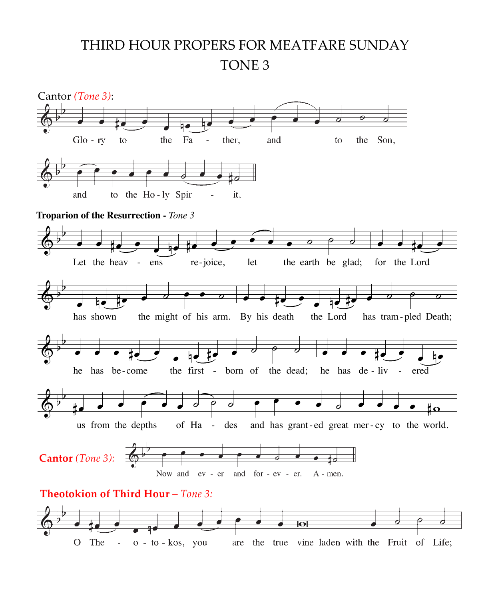## THIRD HOUR PROPERS FOR MEATFARE SUNDAY TONE 3